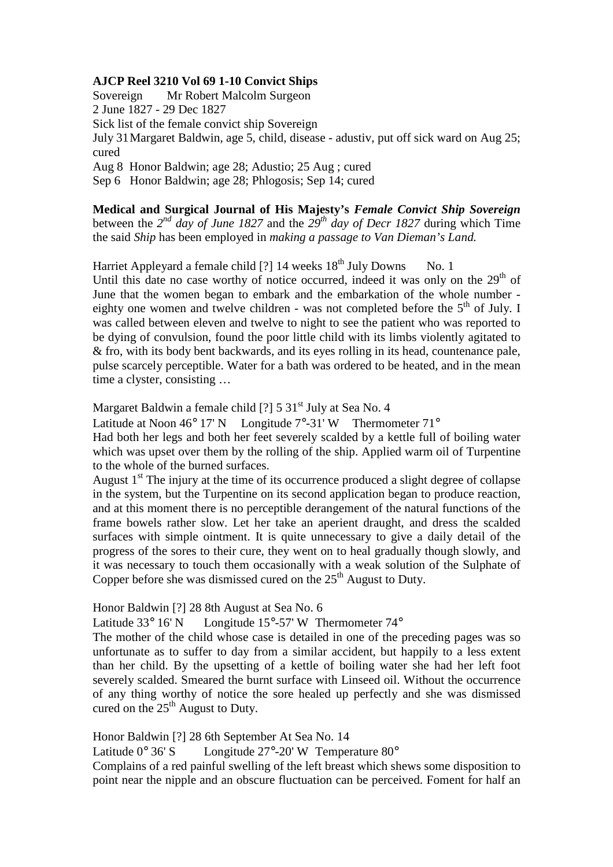## **AJCP Reel 3210 Vol 69 1-10 Convict Ships**

Sovereign Mr Robert Malcolm Surgeon 2 June 1827 - 29 Dec 1827 Sick list of the female convict ship Sovereign July 31 Margaret Baldwin, age 5, child, disease - adustiv, put off sick ward on Aug 25; cured Aug 8 Honor Baldwin; age 28; Adustio; 25 Aug ; cured Sep 6 Honor Baldwin; age 28; Phlogosis; Sep 14; cured

**Medical and Surgical Journal of His Majesty's** *Female Convict Ship Sovereign* between the  $2^{nd}$  *day of June 1827* and the  $29^{th}$  *day of Decr 1827* during which Time the said *Ship* has been employed in *making a passage to Van Dieman's Land.* 

Harriet Appleyard a female child  $[?]$  14 weeks  $18<sup>th</sup>$  July Downs No. 1 Until this date no case worthy of notice occurred, indeed it was only on the  $29<sup>th</sup>$  of June that the women began to embark and the embarkation of the whole number eighty one women and twelve children - was not completed before the  $5<sup>th</sup>$  of July. I was called between eleven and twelve to night to see the patient who was reported to be dying of convulsion, found the poor little child with its limbs violently agitated to & fro, with its body bent backwards, and its eyes rolling in its head, countenance pale, pulse scarcely perceptible. Water for a bath was ordered to be heated, and in the mean time a clyster, consisting …

Margaret Baldwin a female child  $[?]$  5 31<sup>st</sup> July at Sea No. 4

Latitude at Noon  $46^{\circ}$  17' N Longitude  $7^{\circ}$ -31' W Thermometer  $71^{\circ}$ 

Had both her legs and both her feet severely scalded by a kettle full of boiling water which was upset over them by the rolling of the ship. Applied warm oil of Turpentine to the whole of the burned surfaces.

August  $1<sup>st</sup>$  The injury at the time of its occurrence produced a slight degree of collapse in the system, but the Turpentine on its second application began to produce reaction, and at this moment there is no perceptible derangement of the natural functions of the frame bowels rather slow. Let her take an aperient draught, and dress the scalded surfaces with simple ointment. It is quite unnecessary to give a daily detail of the progress of the sores to their cure, they went on to heal gradually though slowly, and it was necessary to touch them occasionally with a weak solution of the Sulphate of Copper before she was dismissed cured on the  $25<sup>th</sup>$  August to Duty.

Honor Baldwin [?] 28 8th August at Sea No. 6

Latitude 33° 16' N Longitude 15°-57' W Thermometer 74°

The mother of the child whose case is detailed in one of the preceding pages was so unfortunate as to suffer to day from a similar accident, but happily to a less extent than her child. By the upsetting of a kettle of boiling water she had her left foot severely scalded. Smeared the burnt surface with Linseed oil. Without the occurrence of any thing worthy of notice the sore healed up perfectly and she was dismissed cured on the  $25<sup>th</sup>$  August to Duty.

Honor Baldwin [?] 28 6th September At Sea No. 14

Latitude  $0^{\circ}$  36' S Longitude  $27^{\circ}$ -20' W Temperature  $80^{\circ}$ 

Complains of a red painful swelling of the left breast which shews some disposition to point near the nipple and an obscure fluctuation can be perceived. Foment for half an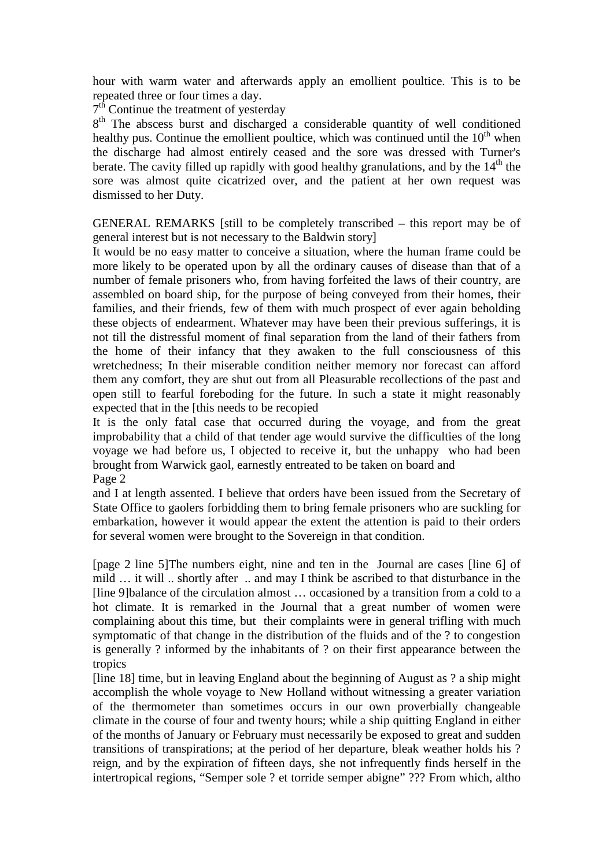hour with warm water and afterwards apply an emollient poultice. This is to be repeated three or four times a day.

7<sup>th</sup> Continue the treatment of yesterday

8<sup>th</sup> The abscess burst and discharged a considerable quantity of well conditioned healthy pus. Continue the emollient poultice, which was continued until the  $10<sup>th</sup>$  when the discharge had almost entirely ceased and the sore was dressed with Turner's berate. The cavity filled up rapidly with good healthy granulations, and by the  $14<sup>th</sup>$  the sore was almost quite cicatrized over, and the patient at her own request was dismissed to her Duty.

GENERAL REMARKS [still to be completely transcribed – this report may be of general interest but is not necessary to the Baldwin story]

It would be no easy matter to conceive a situation, where the human frame could be more likely to be operated upon by all the ordinary causes of disease than that of a number of female prisoners who, from having forfeited the laws of their country, are assembled on board ship, for the purpose of being conveyed from their homes, their families, and their friends, few of them with much prospect of ever again beholding these objects of endearment. Whatever may have been their previous sufferings, it is not till the distressful moment of final separation from the land of their fathers from the home of their infancy that they awaken to the full consciousness of this wretchedness; In their miserable condition neither memory nor forecast can afford them any comfort, they are shut out from all Pleasurable recollections of the past and open still to fearful foreboding for the future. In such a state it might reasonably expected that in the [this needs to be recopied

It is the only fatal case that occurred during the voyage, and from the great improbability that a child of that tender age would survive the difficulties of the long voyage we had before us, I objected to receive it, but the unhappy who had been brought from Warwick gaol, earnestly entreated to be taken on board and Page 2

and I at length assented. I believe that orders have been issued from the Secretary of State Office to gaolers forbidding them to bring female prisoners who are suckling for embarkation, however it would appear the extent the attention is paid to their orders for several women were brought to the Sovereign in that condition.

[page 2 line 5]The numbers eight, nine and ten in the Journal are cases [line 6] of mild … it will .. shortly after .. and may I think be ascribed to that disturbance in the [line 9]balance of the circulation almost … occasioned by a transition from a cold to a hot climate. It is remarked in the Journal that a great number of women were complaining about this time, but their complaints were in general trifling with much symptomatic of that change in the distribution of the fluids and of the ? to congestion is generally ? informed by the inhabitants of ? on their first appearance between the tropics

[line 18] time, but in leaving England about the beginning of August as ? a ship might accomplish the whole voyage to New Holland without witnessing a greater variation of the thermometer than sometimes occurs in our own proverbially changeable climate in the course of four and twenty hours; while a ship quitting England in either of the months of January or February must necessarily be exposed to great and sudden transitions of transpirations; at the period of her departure, bleak weather holds his ? reign, and by the expiration of fifteen days, she not infrequently finds herself in the intertropical regions, "Semper sole ? et torride semper abigne" ??? From which, altho